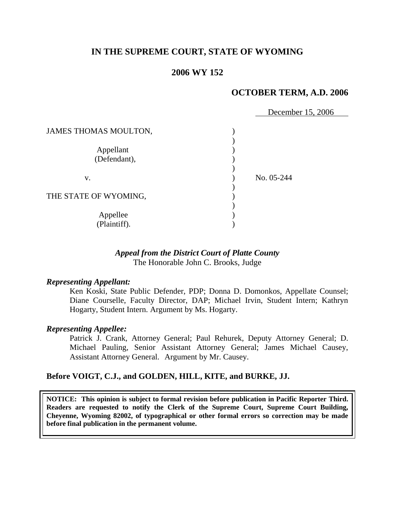# **IN THE SUPREME COURT, STATE OF WYOMING**

# **2006 WY 152**

# **OCTOBER TERM, A.D. 2006**

|                           | December 15, 2006 |
|---------------------------|-------------------|
| JAMES THOMAS MOULTON,     |                   |
| Appellant<br>(Defendant), |                   |
| V.                        | No. 05-244        |
| THE STATE OF WYOMING,     |                   |
| Appellee<br>(Plaintiff).  |                   |

## *Appeal from the District Court of Platte County* The Honorable John C. Brooks, Judge

#### *Representing Appellant:*

Ken Koski, State Public Defender, PDP; Donna D. Domonkos, Appellate Counsel; Diane Courselle, Faculty Director, DAP; Michael Irvin, Student Intern; Kathryn Hogarty, Student Intern. Argument by Ms. Hogarty.

#### *Representing Appellee:*

Patrick J. Crank, Attorney General; Paul Rehurek, Deputy Attorney General; D. Michael Pauling, Senior Assistant Attorney General; James Michael Causey, Assistant Attorney General. Argument by Mr. Causey.

## **Before VOIGT, C.J., and GOLDEN, HILL, KITE, and BURKE, JJ.**

**NOTICE: This opinion is subject to formal revision before publication in Pacific Reporter Third. Readers are requested to notify the Clerk of the Supreme Court, Supreme Court Building, Cheyenne, Wyoming 82002, of typographical or other formal errors so correction may be made before final publication in the permanent volume.**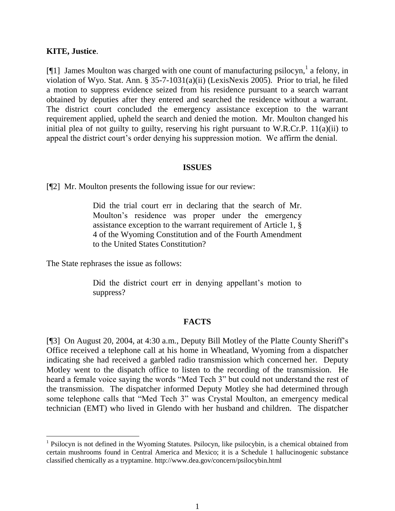#### **KITE, Justice**.

[ $[1]$ ] James Moulton was charged with one count of manufacturing psilocyn, a felony, in violation of Wyo. Stat. Ann. § 35-7-1031(a)(ii) (LexisNexis 2005). Prior to trial, he filed a motion to suppress evidence seized from his residence pursuant to a search warrant obtained by deputies after they entered and searched the residence without a warrant. The district court concluded the emergency assistance exception to the warrant requirement applied, upheld the search and denied the motion. Mr. Moulton changed his initial plea of not guilty to guilty, reserving his right pursuant to W.R.Cr.P. 11(a)(ii) to appeal the district court's order denying his suppression motion. We affirm the denial.

#### **ISSUES**

[¶2] Mr. Moulton presents the following issue for our review:

Did the trial court err in declaring that the search of Mr. Moulton's residence was proper under the emergency assistance exception to the warrant requirement of Article 1, § 4 of the Wyoming Constitution and of the Fourth Amendment to the United States Constitution?

The State rephrases the issue as follows:

Did the district court err in denying appellant's motion to suppress?

## **FACTS**

[¶3] On August 20, 2004, at 4:30 a.m., Deputy Bill Motley of the Platte County Sheriff's Office received a telephone call at his home in Wheatland, Wyoming from a dispatcher indicating she had received a garbled radio transmission which concerned her. Deputy Motley went to the dispatch office to listen to the recording of the transmission. He heard a female voice saying the words "Med Tech 3" but could not understand the rest of the transmission. The dispatcher informed Deputy Motley she had determined through some telephone calls that "Med Tech 3" was Crystal Moulton, an emergency medical technician (EMT) who lived in Glendo with her husband and children. The dispatcher

<sup>&</sup>lt;sup>1</sup> Psilocyn is not defined in the Wyoming Statutes. Psilocyn, like psilocybin, is a chemical obtained from certain mushrooms found in Central America and Mexico; it is a Schedule 1 hallucinogenic substance classified chemically as a tryptamine. http://www.dea.gov/concern/psilocybin.html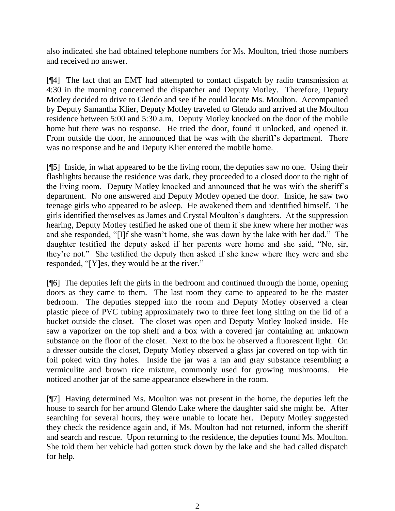also indicated she had obtained telephone numbers for Ms. Moulton, tried those numbers and received no answer.

[¶4] The fact that an EMT had attempted to contact dispatch by radio transmission at 4:30 in the morning concerned the dispatcher and Deputy Motley. Therefore, Deputy Motley decided to drive to Glendo and see if he could locate Ms. Moulton. Accompanied by Deputy Samantha Klier, Deputy Motley traveled to Glendo and arrived at the Moulton residence between 5:00 and 5:30 a.m. Deputy Motley knocked on the door of the mobile home but there was no response. He tried the door, found it unlocked, and opened it. From outside the door, he announced that he was with the sheriff's department. There was no response and he and Deputy Klier entered the mobile home.

[¶5] Inside, in what appeared to be the living room, the deputies saw no one. Using their flashlights because the residence was dark, they proceeded to a closed door to the right of the living room. Deputy Motley knocked and announced that he was with the sheriff's department. No one answered and Deputy Motley opened the door. Inside, he saw two teenage girls who appeared to be asleep. He awakened them and identified himself. The girls identified themselves as James and Crystal Moulton's daughters. At the suppression hearing, Deputy Motley testified he asked one of them if she knew where her mother was and she responded, "[I]f she wasn't home, she was down by the lake with her dad." The daughter testified the deputy asked if her parents were home and she said, "No, sir, they're not." She testified the deputy then asked if she knew where they were and she responded, "[Y]es, they would be at the river."

[¶6] The deputies left the girls in the bedroom and continued through the home, opening doors as they came to them. The last room they came to appeared to be the master bedroom. The deputies stepped into the room and Deputy Motley observed a clear plastic piece of PVC tubing approximately two to three feet long sitting on the lid of a bucket outside the closet. The closet was open and Deputy Motley looked inside. He saw a vaporizer on the top shelf and a box with a covered jar containing an unknown substance on the floor of the closet. Next to the box he observed a fluorescent light. On a dresser outside the closet, Deputy Motley observed a glass jar covered on top with tin foil poked with tiny holes. Inside the jar was a tan and gray substance resembling a vermiculite and brown rice mixture, commonly used for growing mushrooms. He noticed another jar of the same appearance elsewhere in the room.

[¶7] Having determined Ms. Moulton was not present in the home, the deputies left the house to search for her around Glendo Lake where the daughter said she might be. After searching for several hours, they were unable to locate her. Deputy Motley suggested they check the residence again and, if Ms. Moulton had not returned, inform the sheriff and search and rescue. Upon returning to the residence, the deputies found Ms. Moulton. She told them her vehicle had gotten stuck down by the lake and she had called dispatch for help.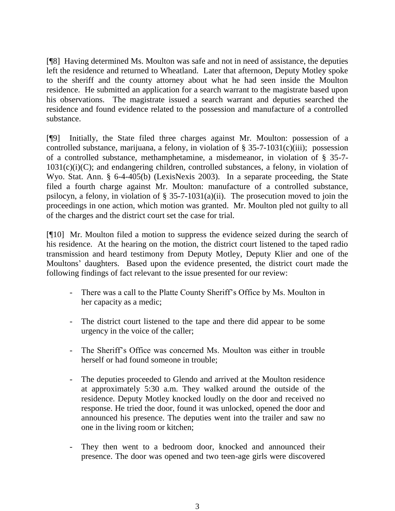[¶8] Having determined Ms. Moulton was safe and not in need of assistance, the deputies left the residence and returned to Wheatland. Later that afternoon, Deputy Motley spoke to the sheriff and the county attorney about what he had seen inside the Moulton residence. He submitted an application for a search warrant to the magistrate based upon his observations. The magistrate issued a search warrant and deputies searched the residence and found evidence related to the possession and manufacture of a controlled substance.

[¶9] Initially, the State filed three charges against Mr. Moulton: possession of a controlled substance, marijuana, a felony, in violation of  $\S 35-7-1031(c)(iii)$ ; possession of a controlled substance, methamphetamine, a misdemeanor, in violation of § 35-7-  $1031(c)(i)(C)$ ; and endangering children, controlled substances, a felony, in violation of Wyo. Stat. Ann. § 6-4-405(b) (LexisNexis 2003). In a separate proceeding, the State filed a fourth charge against Mr. Moulton: manufacture of a controlled substance, psilocyn, a felony, in violation of § 35-7-1031(a)(ii). The prosecution moved to join the proceedings in one action, which motion was granted. Mr. Moulton pled not guilty to all of the charges and the district court set the case for trial.

[¶10] Mr. Moulton filed a motion to suppress the evidence seized during the search of his residence. At the hearing on the motion, the district court listened to the taped radio transmission and heard testimony from Deputy Motley, Deputy Klier and one of the Moultons' daughters. Based upon the evidence presented, the district court made the following findings of fact relevant to the issue presented for our review:

- There was a call to the Platte County Sheriff's Office by Ms. Moulton in her capacity as a medic;
- The district court listened to the tape and there did appear to be some urgency in the voice of the caller;
- The Sheriff's Office was concerned Ms. Moulton was either in trouble herself or had found someone in trouble;
- The deputies proceeded to Glendo and arrived at the Moulton residence at approximately 5:30 a.m. They walked around the outside of the residence. Deputy Motley knocked loudly on the door and received no response. He tried the door, found it was unlocked, opened the door and announced his presence. The deputies went into the trailer and saw no one in the living room or kitchen;
- They then went to a bedroom door, knocked and announced their presence. The door was opened and two teen-age girls were discovered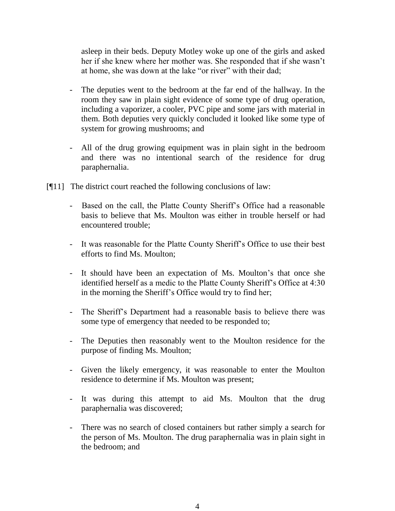asleep in their beds. Deputy Motley woke up one of the girls and asked her if she knew where her mother was. She responded that if she wasn't at home, she was down at the lake "or river" with their dad;

- The deputies went to the bedroom at the far end of the hallway. In the room they saw in plain sight evidence of some type of drug operation, including a vaporizer, a cooler, PVC pipe and some jars with material in them. Both deputies very quickly concluded it looked like some type of system for growing mushrooms; and
- All of the drug growing equipment was in plain sight in the bedroom and there was no intentional search of the residence for drug paraphernalia.
- [¶11] The district court reached the following conclusions of law:
	- Based on the call, the Platte County Sheriff's Office had a reasonable basis to believe that Ms. Moulton was either in trouble herself or had encountered trouble;
	- It was reasonable for the Platte County Sheriff's Office to use their best efforts to find Ms. Moulton;
	- It should have been an expectation of Ms. Moulton's that once she identified herself as a medic to the Platte County Sheriff's Office at 4:30 in the morning the Sheriff's Office would try to find her;
	- The Sheriff's Department had a reasonable basis to believe there was some type of emergency that needed to be responded to;
	- The Deputies then reasonably went to the Moulton residence for the purpose of finding Ms. Moulton;
	- Given the likely emergency, it was reasonable to enter the Moulton residence to determine if Ms. Moulton was present;
	- It was during this attempt to aid Ms. Moulton that the drug paraphernalia was discovered;
	- There was no search of closed containers but rather simply a search for the person of Ms. Moulton. The drug paraphernalia was in plain sight in the bedroom; and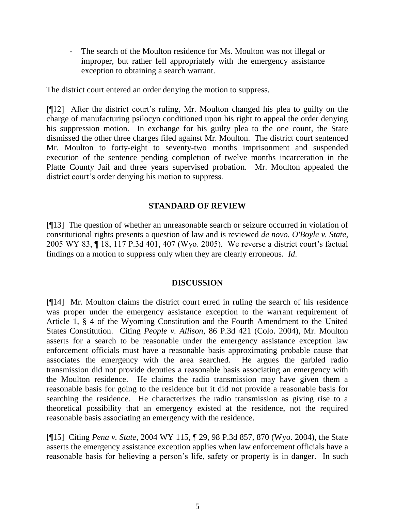- The search of the Moulton residence for Ms. Moulton was not illegal or improper, but rather fell appropriately with the emergency assistance exception to obtaining a search warrant.

The district court entered an order denying the motion to suppress.

[¶12] After the district court's ruling, Mr. Moulton changed his plea to guilty on the charge of manufacturing psilocyn conditioned upon his right to appeal the order denying his suppression motion. In exchange for his guilty plea to the one count, the State dismissed the other three charges filed against Mr. Moulton. The district court sentenced Mr. Moulton to forty-eight to seventy-two months imprisonment and suspended execution of the sentence pending completion of twelve months incarceration in the Platte County Jail and three years supervised probation. Mr. Moulton appealed the district court's order denying his motion to suppress.

# **STANDARD OF REVIEW**

[¶13] The question of whether an unreasonable search or seizure occurred in violation of constitutional rights presents a question of law and is reviewed *de novo*. *O'Boyle v. State*, 2005 WY 83, ¶ 18, 117 P.3d 401, 407 (Wyo. 2005). We reverse a district court's factual findings on a motion to suppress only when they are clearly erroneous. *Id*.

## **DISCUSSION**

[¶14] Mr. Moulton claims the district court erred in ruling the search of his residence was proper under the emergency assistance exception to the warrant requirement of Article 1, § 4 of the Wyoming Constitution and the Fourth Amendment to the United States Constitution. Citing *People v. Allison*, 86 P.3d 421 (Colo. 2004), Mr. Moulton asserts for a search to be reasonable under the emergency assistance exception law enforcement officials must have a reasonable basis approximating probable cause that associates the emergency with the area searched. He argues the garbled radio transmission did not provide deputies a reasonable basis associating an emergency with the Moulton residence. He claims the radio transmission may have given them a reasonable basis for going to the residence but it did not provide a reasonable basis for searching the residence. He characterizes the radio transmission as giving rise to a theoretical possibility that an emergency existed at the residence, not the required reasonable basis associating an emergency with the residence.

[¶15] Citing *Pena v. State*, 2004 WY 115, ¶ 29, 98 P.3d 857, 870 (Wyo. 2004), the State asserts the emergency assistance exception applies when law enforcement officials have a reasonable basis for believing a person's life, safety or property is in danger. In such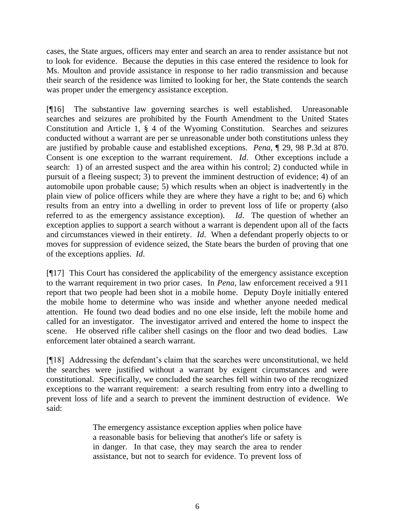cases, the State argues, officers may enter and search an area to render assistance but not to look for evidence. Because the deputies in this case entered the residence to look for Ms. Moulton and provide assistance in response to her radio transmission and because their search of the residence was limited to looking for her, the State contends the search was proper under the emergency assistance exception.

[¶16] The substantive law governing searches is well established. Unreasonable searches and seizures are prohibited by the Fourth Amendment to the United States Constitution and Article 1, § 4 of the Wyoming Constitution. Searches and seizures conducted without a warrant are per se unreasonable under both constitutions unless they are justified by probable cause and established exceptions. *Pena*, ¶ 29, 98 P.3d at 870. Consent is one exception to the warrant requirement. *Id*. Other exceptions include a search: 1) of an arrested suspect and the area within his control; 2) conducted while in pursuit of a fleeing suspect; 3) to prevent the imminent destruction of evidence; 4) of an automobile upon probable cause; 5) which results when an object is inadvertently in the plain view of police officers while they are where they have a right to be; and 6) which results from an entry into a dwelling in order to prevent loss of life or property (also referred to as the emergency assistance exception). *Id*. The question of whether an exception applies to support a search without a warrant is dependent upon all of the facts and circumstances viewed in their entirety. *Id*. When a defendant properly objects to or moves for suppression of evidence seized, the State bears the burden of proving that one of the exceptions applies. *Id*.

[¶17] This Court has considered the applicability of the emergency assistance exception to the warrant requirement in two prior cases. In *Pena*, law enforcement received a 911 report that two people had been shot in a mobile home. Deputy Doyle initially entered the mobile home to determine who was inside and whether anyone needed medical attention. He found two dead bodies and no one else inside, left the mobile home and called for an investigator. The investigator arrived and entered the home to inspect the scene. He observed rifle caliber shell casings on the floor and two dead bodies. Law enforcement later obtained a search warrant.

[¶18] Addressing the defendant's claim that the searches were unconstitutional, we held the searches were justified without a warrant by exigent circumstances and were constitutional. Specifically, we concluded the searches fell within two of the recognized exceptions to the warrant requirement: a search resulting from entry into a dwelling to prevent loss of life and a search to prevent the imminent destruction of evidence. We said:

> The emergency assistance exception applies when police have a reasonable basis for believing that another's life or safety is in danger. In that case, they may search the area to render assistance, but not to search for evidence. To prevent loss of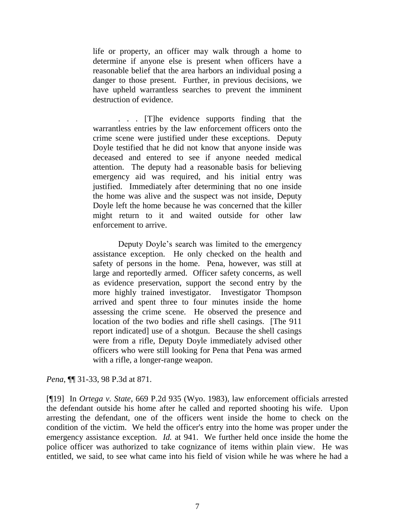life or property, an officer may walk through a home to determine if anyone else is present when officers have a reasonable belief that the area harbors an individual posing a danger to those present. Further, in previous decisions, we have upheld warrantless searches to prevent the imminent destruction of evidence.

. . . [T]he evidence supports finding that the warrantless entries by the law enforcement officers onto the crime scene were justified under these exceptions. Deputy Doyle testified that he did not know that anyone inside was deceased and entered to see if anyone needed medical attention. The deputy had a reasonable basis for believing emergency aid was required, and his initial entry was justified. Immediately after determining that no one inside the home was alive and the suspect was not inside, Deputy Doyle left the home because he was concerned that the killer might return to it and waited outside for other law enforcement to arrive.

Deputy Doyle's search was limited to the emergency assistance exception. He only checked on the health and safety of persons in the home. Pena, however, was still at large and reportedly armed. Officer safety concerns, as well as evidence preservation, support the second entry by the more highly trained investigator. Investigator Thompson arrived and spent three to four minutes inside the home assessing the crime scene. He observed the presence and location of the two bodies and rifle shell casings. [The 911 report indicated] use of a shotgun. Because the shell casings were from a rifle, Deputy Doyle immediately advised other officers who were still looking for Pena that Pena was armed with a rifle, a longer-range weapon.

*Pena*, ¶¶ 31-33, 98 P.3d at 871.

[¶19] In *Ortega v. State*, 669 P.2d 935 (Wyo. 1983), law enforcement officials arrested the defendant outside his home after he called and reported shooting his wife. Upon arresting the defendant, one of the officers went inside the home to check on the condition of the victim. We held the officer's entry into the home was proper under the emergency assistance exception. *Id.* at 941. We further held once inside the home the police officer was authorized to take cognizance of items within plain view. He was entitled, we said, to see what came into his field of vision while he was where he had a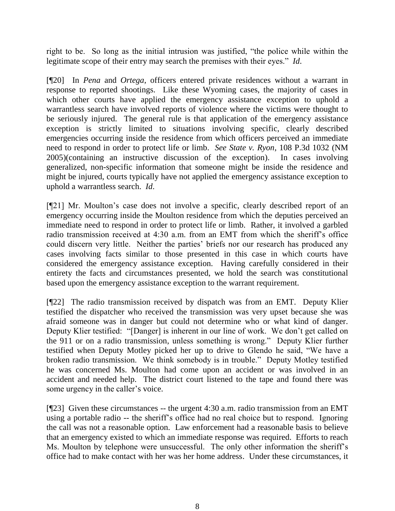right to be. So long as the initial intrusion was justified, "the police while within the legitimate scope of their entry may search the premises with their eyes." *Id*.

[¶20] In *Pena* and *Ortega*, officers entered private residences without a warrant in response to reported shootings. Like these Wyoming cases, the majority of cases in which other courts have applied the emergency assistance exception to uphold a warrantless search have involved reports of violence where the victims were thought to be seriously injured. The general rule is that application of the emergency assistance exception is strictly limited to situations involving specific, clearly described emergencies occurring inside the residence from which officers perceived an immediate need to respond in order to protect life or limb. *See State v. Ryon*, 108 P.3d 1032 (NM 2005)(containing an instructive discussion of the exception). In cases involving generalized, non-specific information that someone might be inside the residence and might be injured, courts typically have not applied the emergency assistance exception to uphold a warrantless search. *Id*.

[¶21] Mr. Moulton's case does not involve a specific, clearly described report of an emergency occurring inside the Moulton residence from which the deputies perceived an immediate need to respond in order to protect life or limb. Rather, it involved a garbled radio transmission received at 4:30 a.m. from an EMT from which the sheriff's office could discern very little. Neither the parties' briefs nor our research has produced any cases involving facts similar to those presented in this case in which courts have considered the emergency assistance exception. Having carefully considered in their entirety the facts and circumstances presented, we hold the search was constitutional based upon the emergency assistance exception to the warrant requirement.

[¶22] The radio transmission received by dispatch was from an EMT. Deputy Klier testified the dispatcher who received the transmission was very upset because she was afraid someone was in danger but could not determine who or what kind of danger. Deputy Klier testified: "[Danger] is inherent in our line of work. We don't get called on the 911 or on a radio transmission, unless something is wrong." Deputy Klier further testified when Deputy Motley picked her up to drive to Glendo he said, "We have a broken radio transmission. We think somebody is in trouble." Deputy Motley testified he was concerned Ms. Moulton had come upon an accident or was involved in an accident and needed help. The district court listened to the tape and found there was some urgency in the caller's voice.

[¶23] Given these circumstances -- the urgent 4:30 a.m. radio transmission from an EMT using a portable radio -- the sheriff's office had no real choice but to respond. Ignoring the call was not a reasonable option. Law enforcement had a reasonable basis to believe that an emergency existed to which an immediate response was required. Efforts to reach Ms. Moulton by telephone were unsuccessful. The only other information the sheriff's office had to make contact with her was her home address. Under these circumstances, it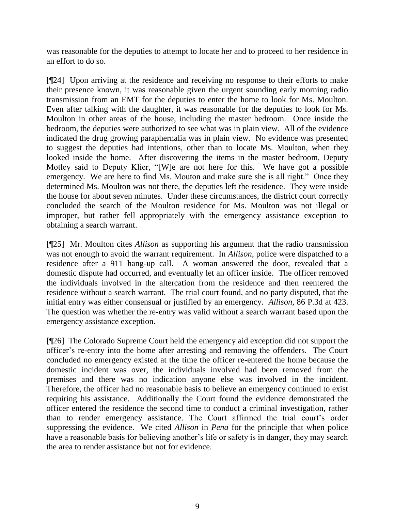was reasonable for the deputies to attempt to locate her and to proceed to her residence in an effort to do so.

[¶24] Upon arriving at the residence and receiving no response to their efforts to make their presence known, it was reasonable given the urgent sounding early morning radio transmission from an EMT for the deputies to enter the home to look for Ms. Moulton. Even after talking with the daughter, it was reasonable for the deputies to look for Ms. Moulton in other areas of the house, including the master bedroom. Once inside the bedroom, the deputies were authorized to see what was in plain view. All of the evidence indicated the drug growing paraphernalia was in plain view. No evidence was presented to suggest the deputies had intentions, other than to locate Ms. Moulton, when they looked inside the home. After discovering the items in the master bedroom, Deputy Motley said to Deputy Klier, "[W]e are not here for this. We have got a possible emergency. We are here to find Ms. Mouton and make sure she is all right." Once they determined Ms. Moulton was not there, the deputies left the residence. They were inside the house for about seven minutes. Under these circumstances, the district court correctly concluded the search of the Moulton residence for Ms. Moulton was not illegal or improper, but rather fell appropriately with the emergency assistance exception to obtaining a search warrant.

[¶25] Mr. Moulton cites *Allison* as supporting his argument that the radio transmission was not enough to avoid the warrant requirement. In *Allison*, police were dispatched to a residence after a 911 hang-up call. A woman answered the door, revealed that a domestic dispute had occurred, and eventually let an officer inside. The officer removed the individuals involved in the altercation from the residence and then reentered the residence without a search warrant. The trial court found, and no party disputed, that the initial entry was either consensual or justified by an emergency. *Allison*, 86 P.3d at 423. The question was whether the re-entry was valid without a search warrant based upon the emergency assistance exception.

[¶26] The Colorado Supreme Court held the emergency aid exception did not support the officer's re-entry into the home after arresting and removing the offenders. The Court concluded no emergency existed at the time the officer re-entered the home because the domestic incident was over, the individuals involved had been removed from the premises and there was no indication anyone else was involved in the incident. Therefore, the officer had no reasonable basis to believe an emergency continued to exist requiring his assistance. Additionally the Court found the evidence demonstrated the officer entered the residence the second time to conduct a criminal investigation, rather than to render emergency assistance. The Court affirmed the trial court's order suppressing the evidence. We cited *Allison* in *Pena* for the principle that when police have a reasonable basis for believing another's life or safety is in danger, they may search the area to render assistance but not for evidence.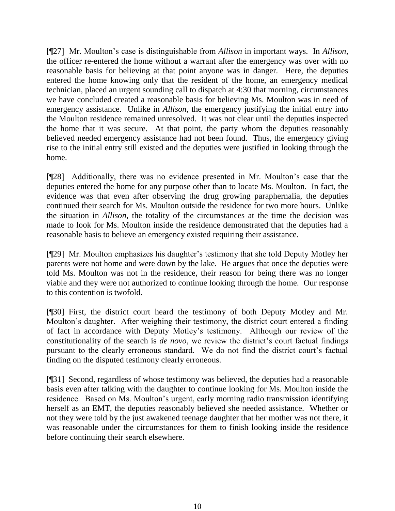[¶27] Mr. Moulton's case is distinguishable from *Allison* in important ways. In *Allison*, the officer re-entered the home without a warrant after the emergency was over with no reasonable basis for believing at that point anyone was in danger. Here, the deputies entered the home knowing only that the resident of the home, an emergency medical technician, placed an urgent sounding call to dispatch at 4:30 that morning, circumstances we have concluded created a reasonable basis for believing Ms. Moulton was in need of emergency assistance. Unlike in *Allison*, the emergency justifying the initial entry into the Moulton residence remained unresolved. It was not clear until the deputies inspected the home that it was secure. At that point, the party whom the deputies reasonably believed needed emergency assistance had not been found. Thus, the emergency giving rise to the initial entry still existed and the deputies were justified in looking through the home.

[¶28] Additionally, there was no evidence presented in Mr. Moulton's case that the deputies entered the home for any purpose other than to locate Ms. Moulton. In fact, the evidence was that even after observing the drug growing paraphernalia, the deputies continued their search for Ms. Moulton outside the residence for two more hours. Unlike the situation in *Allison*, the totality of the circumstances at the time the decision was made to look for Ms. Moulton inside the residence demonstrated that the deputies had a reasonable basis to believe an emergency existed requiring their assistance.

[¶29] Mr. Moulton emphasizes his daughter's testimony that she told Deputy Motley her parents were not home and were down by the lake. He argues that once the deputies were told Ms. Moulton was not in the residence, their reason for being there was no longer viable and they were not authorized to continue looking through the home. Our response to this contention is twofold.

[¶30] First, the district court heard the testimony of both Deputy Motley and Mr. Moulton's daughter. After weighing their testimony, the district court entered a finding of fact in accordance with Deputy Motley's testimony. Although our review of the constitutionality of the search is *de novo*, we review the district's court factual findings pursuant to the clearly erroneous standard. We do not find the district court's factual finding on the disputed testimony clearly erroneous.

[¶31] Second, regardless of whose testimony was believed, the deputies had a reasonable basis even after talking with the daughter to continue looking for Ms. Moulton inside the residence. Based on Ms. Moulton's urgent, early morning radio transmission identifying herself as an EMT, the deputies reasonably believed she needed assistance. Whether or not they were told by the just awakened teenage daughter that her mother was not there, it was reasonable under the circumstances for them to finish looking inside the residence before continuing their search elsewhere.